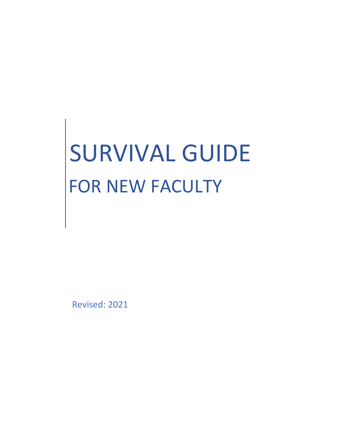# SURVIVAL GUIDE FOR NEW FACULTY

Revised: 2021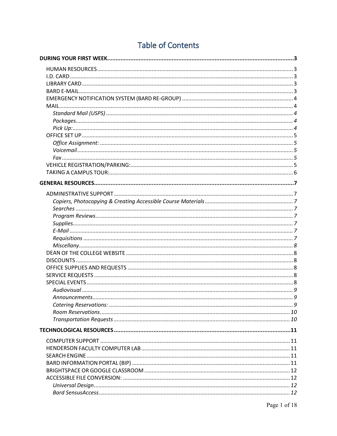# **Table of Contents**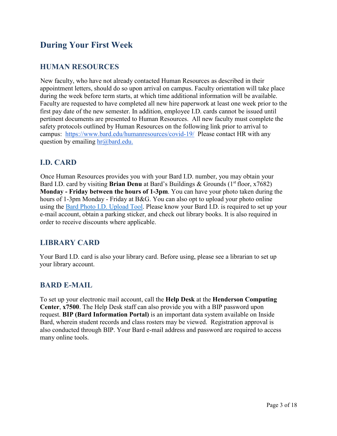# **During Your First Week**

#### **HUMAN RESOURCES**

New faculty, who have not already contacted Human Resources as described in their appointment letters, should do so upon arrival on campus. Faculty orientation will take place during the week before term starts, at which time additional information will be available. Faculty are requested to have completed all new hire paperwork at least one week prior to the first pay date of the new semester. In addition, employee I.D. cards cannot be issued until pertinent documents are presented to Human Resources. All new faculty must complete the safety protocols outlined by Human Resources on the following link prior to arrival to campus: <https://www.bard.edu/humanresources/covid-19/>Please contact HR with any question by emailing  $\text{hr}(\omega)$  bard.edu.

#### **I.D. CARD**

Once Human Resources provides you with your Bard I.D. number, you may obtain your Bard I.D. card by visiting **Brian Denu** at Bard's Buildings & Grounds (1<sup>st</sup> floor, x7682) **Monday - Friday between the hours of 1-3pm**. You can have your photo taken during the hours of 1-3pm Monday - Friday at B&G. You can also opt to upload your photo online using the [Bard Photo I.D.](https://bardcard.bard.edu/logon.php) Upload Tool. Please know your Bard I.D. is required to set up your e-mail account, obtain a parking sticker, and check out library books. It is also required in order to receive discounts where applicable.

### **LIBRARY CARD**

Your Bard I.D. card is also your library card. Before using, please see a librarian to set up your library account.

#### **BARD E-MAIL**

To set up your electronic mail account, call the **Help Desk** at the **Henderson Computing Center**, **x7500**. The Help Desk staff can also provide you with a BIP password upon request. **BIP (Bard Information Portal)** is an important data system available on Inside Bard, wherein student records and class rosters may be viewed. Registration approval is also conducted through BIP. Your Bard e-mail address and password are required to access many online tools.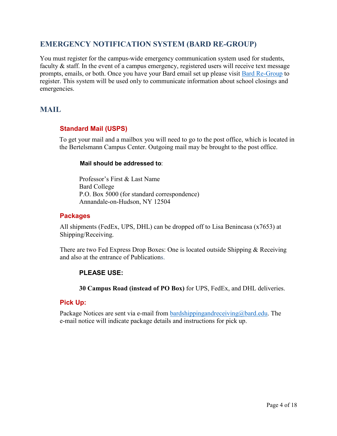#### **EMERGENCY NOTIFICATION SYSTEM (BARD RE-GROUP)**

You must register for the campus‐wide emergency communication system used for students, faculty & staff. In the event of a campus emergency, registered users will receive text message prompts, emails, or both. Once you have your Bard email set up please visit [Bard Re-Group](https://login.bard.edu/cas/login?service=https%3A%2F%2Fbard.regroup.com%2Fauth_cas) to register. This system will be used only to communicate information about school closings and emergencies.

#### **MAIL**

#### **Standard Mail (USPS)**

To get your mail and a mailbox you will need to go to the post office, which is located in the Bertelsmann Campus Center. Outgoing mail may be brought to the post office.

#### **Mail should be addressed to**:

Professor's First & Last Name Bard College P.O. Box 5000 (for standard correspondence) Annandale-on-Hudson, NY 12504

#### **Packages**

All shipments (FedEx, UPS, DHL) can be dropped off to Lisa Benincasa (x7653) at Shipping/Receiving.

There are two Fed Express Drop Boxes: One is located outside Shipping & Receiving and also at the entrance of Publications.

#### **PLEASE USE:**

**30 Campus Road (instead of PO Box)** for UPS, FedEx, and DHL deliveries.

#### **Pick Up:**

Package Notices are sent via e-mail from [bardshippingandreceiving@bard.edu.](mailto:bardshippingandreceiving@bard.edu) The e-mail notice will indicate package details and instructions for pick up.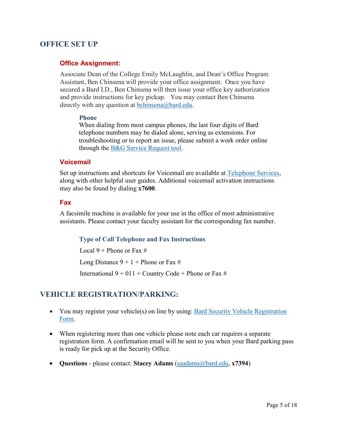#### **OFFICE SET UP**

#### **Office Assignment:**

Associate Dean of the College Emily McLaughlin, and Dean's Office Program Assistant, Ben Chinsena will provide your office assignment. Once you have secured a Bard I.D., Ben Chinsena will then issue your office key authorization and provide instructions for key pickup. You may contact Ben Chinsena directly with any question at [bchinsena@bard.edu.](mailto:bchinsena@bard.edu)

#### **Phone**

When dialing from most campus phones, the last four digits of Bard telephone numbers may be dialed alone, serving as extensions. For troubleshooting or to report an issue, please submit a work order online through the [B&G Service Request tool.](https://fms.bard.edu/)

#### **Voicemail**

Set up instructions and shortcuts for Voicemail are available at [Telephone Services,](https://www.bard.edu/it/telecom/) along with other helpful user guides. Additional voicemail activation instructions may also be found by dialing **x7600**.

#### **Fax**

A facsimile machine is available for your use in the office of most administrative assistants. Please contact your faculty assistant for the corresponding fax number.

#### **Type of Call Telephone and Fax Instructions**

Local  $9$  + Phone or Fax #

Long Distance  $9 + 1 +$  Phone or Fax #

International  $9 + 011 +$  Country Code + Phone or Fax #

#### **VEHICLE REGISTRATION/PARKING:**

- You may register your vehicle(s) on line by using: Bard Security Vehicle Registration [Form.](https://tools.bard.edu/tools/webforms/view.php?id=50807)
- When registering more than one vehicle please note each car requires a separate registration form. A confirmation email will be sent to you when your Bard parking pass is ready for pick up at the Security Office.
- **Questions** please contact: **Stacey Adams** [\(saadams@bard.edu,](mailto:saadams@bard.edu) **x7394**)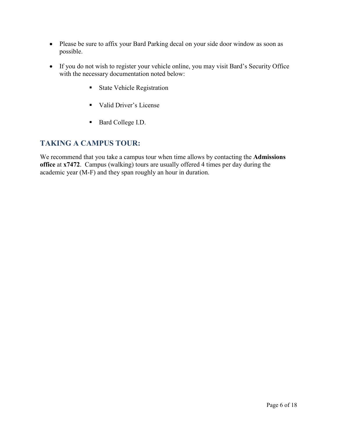- Please be sure to affix your Bard Parking decal on your side door window as soon as possible.
- If you do not wish to register your vehicle online, you may visit Bard's Security Office with the necessary documentation noted below:
	- **State Vehicle Registration**
	- Valid Driver's License
	- Bard College I.D.

#### **TAKING A CAMPUS TOUR:**

We recommend that you take a campus tour when time allows by contacting the **Admissions office** at **x7472**. Campus (walking) tours are usually offered 4 times per day during the academic year (M-F) and they span roughly an hour in duration.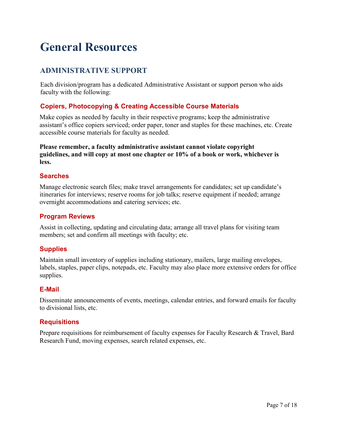# **General Resources**

# **ADMINISTRATIVE SUPPORT**

Each division/program has a dedicated Administrative Assistant or support person who aids faculty with the following:

#### **Copiers, Photocopying & Creating Accessible Course Materials**

Make copies as needed by faculty in their respective programs; keep the administrative assistant's office copiers serviced; order paper, toner and staples for these machines, etc. Create accessible course materials for faculty as needed.

**Please remember, a faculty administrative assistant cannot violate copyright guidelines, and will copy at most one chapter or 10% of a book or work, whichever is less.**

#### **Searches**

Manage electronic search files; make travel arrangements for candidates; set up candidate's itineraries for interviews; reserve rooms for job talks; reserve equipment if needed; arrange overnight accommodations and catering services; etc.

#### **Program Reviews**

Assist in collecting, updating and circulating data; arrange all travel plans for visiting team members; set and confirm all meetings with faculty; etc.

#### **Supplies**

Maintain small inventory of supplies including stationary, mailers, large mailing envelopes, labels, staples, paper clips, notepads, etc. Faculty may also place more extensive orders for office supplies.

#### **E-Mail**

Disseminate announcements of events, meetings, calendar entries, and forward emails for faculty to divisional lists, etc.

#### **Requisitions**

Prepare requisitions for reimbursement of faculty expenses for Faculty Research & Travel, Bard Research Fund, moving expenses, search related expenses, etc.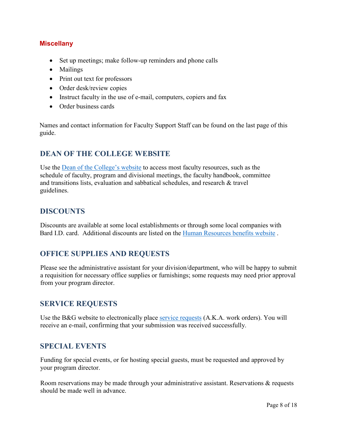#### **Miscellany**

- Set up meetings; make follow-up reminders and phone calls
- Mailings
- Print out text for professors
- Order desk/review copies
- Instruct faculty in the use of e-mail, computers, copiers and fax
- Order business cards

Names and contact information for Faculty Support Staff can be found on the last page of this guide.

#### **DEAN OF THE COLLEGE WEBSITE**

Use the [Dean of the College's website](https://www.bard.edu/doc/) to access most faculty resources, such as the schedule of faculty, program and divisional meetings, the faculty handbook, committee and transitions lists, evaluation and sabbatical schedules, and research & travel guidelines.

#### **DISCOUNTS**

Discounts are available at some local establishments or through some local companies with Bard I.D. card. Additional discounts are listed on the [Human Resources benefits website](https://www.bard.edu/humanresources/) .

#### **OFFICE SUPPLIES AND REQUESTS**

Please see the administrative assistant for your division/department, who will be happy to submit a requisition for necessary office supplies or furnishings; some requests may need prior approval from your program director.

#### **SERVICE REQUESTS**

Use the B&G website to electronically place [service requests](https://www.bard.edu/bandg/) (A.K.A. work orders). You will receive an e-mail, confirming that your submission was received successfully.

#### **SPECIAL EVENTS**

Funding for special events, or for hosting special guests, must be requested and approved by your program director.

Room reservations may be made through your administrative assistant. Reservations & requests should be made well in advance.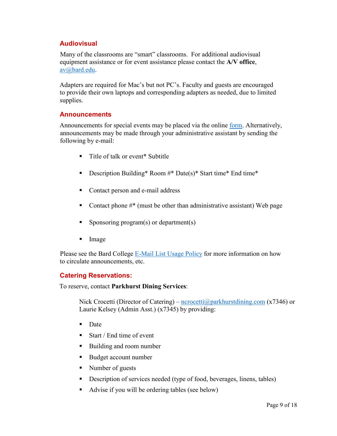#### **Audiovisual**

Many of the classrooms are "smart" classrooms. For additional audiovisual equipment assistance or for event assistance please contact the **A/V office**, [av@bard.edu.](mailto:av@bard.edu)

Adapters are required for Mac's but not PC's. Faculty and guests are encouraged to provide their own laptops and corresponding adapters as needed, due to limited supplies.

#### **Announcements**

Announcements for special events may be placed via the online <u>form</u>. Alternatively, announcements may be made through your administrative assistant by sending the following by e-mail:

- Title of talk or event<sup>\*</sup> Subtitle
- Description Building\* Room #\* Date(s)\* Start time\* End time\*
- Contact person and e-mail address
- Contact phone  $\#^*$  (must be other than administrative assistant) Web page
- Sponsoring program(s) or department(s)
- **Image**

Please see the Bard College [E-Mail List Usage Policy](https://www.bard.edu/it/email-usage/) for more information on how to circulate announcements, etc.

#### **Catering Reservations:**

To reserve, contact **Parkhurst Dining Services**:

Nick Crocetti (Director of Catering) –  $\frac{ncrocetti(\omega) parkhurstdiming.com}{x7346}$  or Laurie Kelsey (Admin Asst.) (x7345) by providing:

- **Date**
- Start / End time of event
- Building and room number
- Budget account number
- Number of guests
- Description of services needed (type of food, beverages, linens, tables)
- Advise if you will be ordering tables (see below)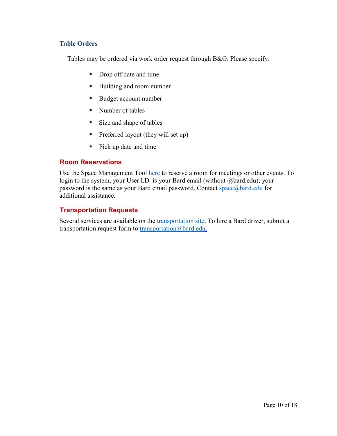#### **Table Orders**

Tables may be ordered via work order request through B&G. Please specify:

- Drop off date and time
- Building and room number
- Budget account number
- Number of tables
- Size and shape of tables
- Preferred layout (they will set up)
- Pick up date and time

#### **Room Reservations**

Use the Space Management Tool [here](https://space.bard.edu/EMSWebApp/Default.aspx) to reserve a room for meetings or other events. To login to the system, your User I.D. is your Bard email (without @bard.edu); your password is the same as your Bard email password. Contact space $\omega$  bard.edu for additional assistance.

#### **Transportation Requests**

Several services are available on the [transportation site.](https://blogs.bard.edu/transportation/) To hire a Bard driver, submit a transportation request form to [transportation@bard.edu.](mailto:transportation@bard.edu)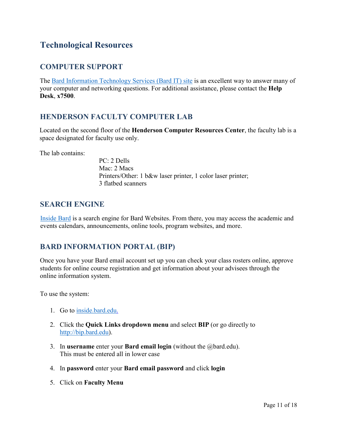# **Technological Resources**

#### **COMPUTER SUPPORT**

The [Bard Information Technology Services \(Bard IT\) site](https://www.bard.edu/it) is an excellent way to answer many of your computer and networking questions. For additional assistance, please contact the **Help Desk**, **x7500**.

#### **HENDERSON FACULTY COMPUTER LAB**

Located on the second floor of the **Henderson Computer Resources Center**, the faculty lab is a space designated for faculty use only.

The lab contains:

PC: 2 Dells Mac: 2 Macs Printers/Other: 1 b&w laser printer, 1 color laser printer; 3 flatbed scanners

#### **SEARCH ENGINE**

[Inside Bard](https://www.bard.edu/inside/) is a search engine for Bard Websites. From there, you may access the academic and events calendars, announcements, online tools, program websites, and more.

#### **BARD INFORMATION PORTAL (BIP)**

Once you have your Bard email account set up you can check your class rosters online, approve students for online course registration and get information about your advisees through the online information system.

To use the system:

- 1. Go to [inside.bard.edu.](https://www.bard.edu/inside/)
- 2. Click the **Quick Links dropdown menu** and select **BIP** (or go directly to [http://bip.bard.edu\)](http://bip.bard.edu/).
- 3. In **username** enter your **Bard email login** (without the @bard.edu). This must be entered all in lower case
- 4. In **password** enter your **Bard email password** and click **login**
- 5. Click on **Faculty Menu**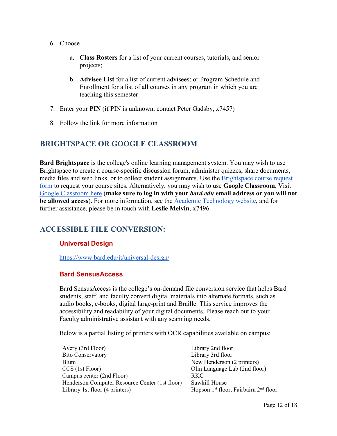- 6. Choose
	- a. **Class Rosters** for a list of your current courses, tutorials, and senior projects;
	- b. **Advisee List** for a list of current advisees; or Program Schedule and Enrollment for a list of all courses in any program in which you are teaching this semester
- 7. Enter your **PIN** (if PIN is unknown, contact Peter Gadsby, x7457)
- 8. Follow the link for more information

#### **BRIGHTSPACE OR GOOGLE CLASSROOM**

**Bard Brightspace** is the college's online learning management system. You may wish to use Brightspace to create a course-specific discussion forum, administer quizzes, share documents, media files and web links, or to collect student assignments. Use the [Brightspace course request](https://forms.gle/EhSRBEro7FzwG6AU9)  [form](https://forms.gle/EhSRBEro7FzwG6AU9) to request your course sites. Alternatively, you may wish to use **Google Classroom**. Visit [Google Classroom here](https://classroom.google.com/h) (**make sure to log in with your** *bard.edu* **email address or you will not be allowed access**). For more information, see the [Academic Technology website,](https://www.bard.edu/it/teach-technology/) and for further assistance, please be in touch with **Leslie Melvin**, x7496.

#### **ACCESSIBLE FILE CONVERSION:**

#### **Universal Design**

<https://www.bard.edu/it/universal-design/>

#### **Bard SensusAccess**

Bard SensusAccess is the college's on-demand file conversion service that helps Bard students, staff, and faculty convert digital materials into alternate formats, such as audio books, e-books, digital large-print and Braille. This service improves the accessibility and readability of your digital documents. Please reach out to your Faculty administrative assistant with any scanning needs.

Below is a partial listing of printers with OCR capabilities available on campus:

| Avery (3rd Floor)                              | Libra      |
|------------------------------------------------|------------|
| <b>Bito Conservatory</b>                       | Libra      |
| <b>Blum</b>                                    | New        |
| CCS (1st Floor)                                | Olin.      |
| Campus center (2nd Floor)                      | <b>RKC</b> |
| Henderson Computer Resource Center (1st floor) | Sawk       |
| Library 1st floor (4 printers)                 | Hops       |
|                                                |            |

rary 2nd floor rary 3rd floor  $w$  Henderson (2 printers) in Language Lab (2nd floor) wkill House pson 1<sup>st</sup> floor, Fairbairn 2<sup>nd</sup> floor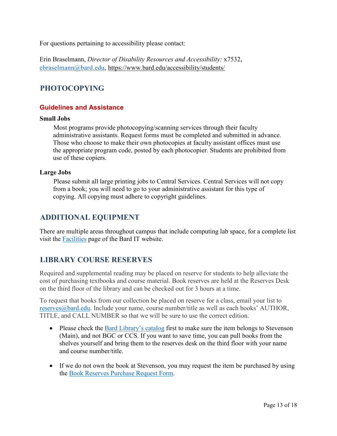For questions pertaining to accessibility please contact:

Erin Braselmann, *Director of Disability Resources and Accessibility:* x7532, [ebraselmann@bard.edu,](mailto:ebraselmann@bard.edu)<https://www.bard.edu/accessibility/students/>

#### **PHOTOCOPYING**

#### **Guidelines and Assistance**

#### **Small Jobs**

Most programs provide photocopying/scanning services through their faculty administrative assistants. Request forms must be completed and submitted in advance. Those who choose to make their own photocopies at faculty assistant offices must use the appropriate program code, posted by each photocopier. Students are prohibited from use of these copiers.

#### **Large Jobs**

Please submit all large printing jobs to Central Services. Central Services will not copy from a book; you will need to go to your administrative assistant for this type of copying. All copying must adhere to copyright guidelines.

#### **ADDITIONAL EQUIPMENT**

There are multiple areas throughout campus that include computing lab space, for a complete list visit the **Facilities** page of the Bard IT website.

#### **LIBRARY COURSE RESERVES**

Required and supplemental reading may be placed on reserve for students to help alleviate the cost of purchasing textbooks and course material. Book reserves are held at the Reserves Desk on the third floor of the library and can be checked out for 3 hours at a time.

To request that books from our collection be placed on reserve for a class, email your list to [reserves@bard.edu.](mailto:reserves@bard.edu) Include your name, course number/title as well as each books' AUTHOR, TITLE, and CALL NUMBER so that we will be sure to use the correct edition.

- Please check the [Bard Library's catalog](https://library.bard.edu/) first to make sure the item belongs to Stevenson (Main), and not BGC or CCS. If you want to save time, you can pull books from the shelves yourself and bring them to the reserves desk on the third floor with your name and course number/title.
- If we do not own the book at Stevenson, you may request the item be purchased by using the [Book Reserves Purchase Request Form.](https://www.bard.edu/library/form-reservesbooks.php)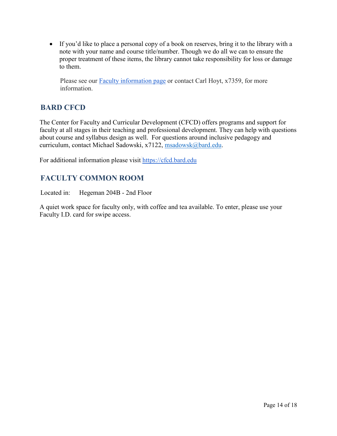• If you'd like to place a personal copy of a book on reserves, bring it to the library with a note with your name and course title/number. Though we do all we can to ensure the proper treatment of these items, the library cannot take responsibility for loss or damage to them.

Please see our [Faculty information page](https://www.bard.edu/library/faculty.php) or contact Carl Hoyt, x7359, for more information.

#### **BARD CFCD**

The Center for Faculty and Curricular Development (CFCD) offers programs and support for faculty at all stages in their teaching and professional development. They can help with questions about course and syllabus design as well. For questions around inclusive pedagogy and curriculum, contact Michael Sadowski, x7122, [msadowsk@bard.edu.](mailto:msadowsk@bard.edu)

For additional information please visit [https://cfcd.bard.edu](https://cfcd.bard.edu/)

# **FACULTY COMMON ROOM**

Located in: Hegeman 204B - 2nd Floor

A quiet work space for faculty only, with coffee and tea available. To enter, please use your Faculty I.D. card for swipe access.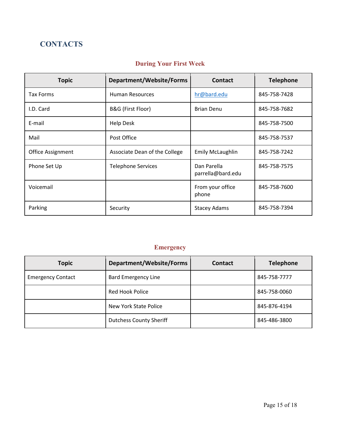# **CONTACTS**

# **During Your First Week**

| <b>Topic</b>             | Department/Website/Forms      | <b>Contact</b>                   | <b>Telephone</b> |
|--------------------------|-------------------------------|----------------------------------|------------------|
| <b>Tax Forms</b>         | <b>Human Resources</b>        | hr@bard.edu                      | 845-758-7428     |
| I.D. Card                | B&G (First Floor)             | <b>Brian Denu</b>                | 845-758-7682     |
| E-mail                   | <b>Help Desk</b>              |                                  | 845-758-7500     |
| Mail                     | Post Office                   |                                  | 845-758-7537     |
| <b>Office Assignment</b> | Associate Dean of the College | <b>Emily McLaughlin</b>          | 845-758-7242     |
| Phone Set Up             | <b>Telephone Services</b>     | Dan Parella<br>parrella@bard.edu | 845-758-7575     |
| Voicemail                |                               | From your office<br>phone        | 845-758-7600     |
| Parking                  | Security                      | <b>Stacey Adams</b>              | 845-758-7394     |

# **Emergency**

| <b>Topic</b>             | Department/Website/Forms       | Contact | <b>Telephone</b> |
|--------------------------|--------------------------------|---------|------------------|
| <b>Emergency Contact</b> | <b>Bard Emergency Line</b>     |         | 845-758-7777     |
|                          | Red Hook Police                |         | 845-758-0060     |
|                          | New York State Police          |         | 845-876-4194     |
|                          | <b>Dutchess County Sheriff</b> |         | 845-486-3800     |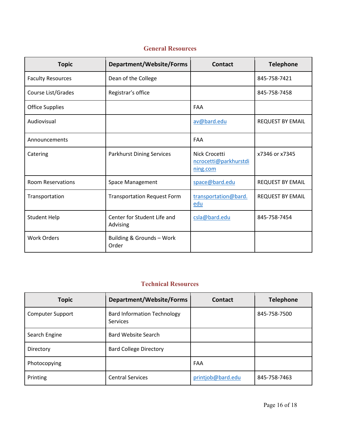| <b>Topic</b>             | Department/Website/Forms                | <b>Contact</b>                                     | <b>Telephone</b>        |
|--------------------------|-----------------------------------------|----------------------------------------------------|-------------------------|
| <b>Faculty Resources</b> | Dean of the College                     |                                                    | 845-758-7421            |
| Course List/Grades       | Registrar's office                      |                                                    | 845-758-7458            |
| <b>Office Supplies</b>   |                                         | <b>FAA</b>                                         |                         |
| Audiovisual              |                                         | av@bard.edu                                        | <b>REQUEST BY EMAIL</b> |
| Announcements            |                                         | FAA                                                |                         |
| Catering                 | <b>Parkhurst Dining Services</b>        | Nick Crocetti<br>ncrocetti@parkhurstdi<br>ning.com | x7346 or x7345          |
| <b>Room Reservations</b> | Space Management                        | space@bard.edu                                     | <b>REQUEST BY EMAIL</b> |
| Transportation           | <b>Transportation Request Form</b>      | transportation@bard.<br>edu                        | <b>REQUEST BY EMAIL</b> |
| <b>Student Help</b>      | Center for Student Life and<br>Advising | csla@bard.edu                                      | 845-758-7454            |
| <b>Work Orders</b>       | Building & Grounds - Work<br>Order      |                                                    |                         |

#### **General Resources**

#### **Technical Resources**

| <b>Topic</b>            | Department/Website/Forms                       | Contact           | <b>Telephone</b> |
|-------------------------|------------------------------------------------|-------------------|------------------|
| <b>Computer Support</b> | <b>Bard Information Technology</b><br>Services |                   | 845-758-7500     |
| Search Engine           | Bard Website Search                            |                   |                  |
| Directory               | <b>Bard College Directory</b>                  |                   |                  |
| Photocopying            |                                                | FAA               |                  |
| Printing                | <b>Central Services</b>                        | printjob@bard.edu | 845-758-7463     |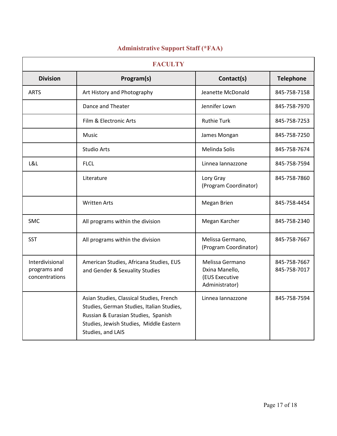| <b>FACULTY</b>                                    |                                                                                                                                                                                              |                                                                       |                              |
|---------------------------------------------------|----------------------------------------------------------------------------------------------------------------------------------------------------------------------------------------------|-----------------------------------------------------------------------|------------------------------|
| <b>Division</b>                                   | Program(s)                                                                                                                                                                                   | Contact(s)                                                            | <b>Telephone</b>             |
| <b>ARTS</b>                                       | Art History and Photography                                                                                                                                                                  | Jeanette McDonald                                                     | 845-758-7158                 |
|                                                   | Dance and Theater                                                                                                                                                                            | Jennifer Lown                                                         | 845-758-7970                 |
|                                                   | Film & Electronic Arts                                                                                                                                                                       | <b>Ruthie Turk</b>                                                    | 845-758-7253                 |
|                                                   | Music                                                                                                                                                                                        | James Mongan                                                          | 845-758-7250                 |
|                                                   | <b>Studio Arts</b>                                                                                                                                                                           | Melinda Solis                                                         | 845-758-7674                 |
| L&L                                               | <b>FLCL</b>                                                                                                                                                                                  | Linnea lannazzone                                                     | 845-758-7594                 |
|                                                   | Literature                                                                                                                                                                                   | Lory Gray<br>(Program Coordinator)                                    | 845-758-7860                 |
|                                                   | <b>Written Arts</b>                                                                                                                                                                          | Megan Brien                                                           | 845-758-4454                 |
| <b>SMC</b>                                        | All programs within the division                                                                                                                                                             | Megan Karcher                                                         | 845-758-2340                 |
| <b>SST</b>                                        | All programs within the division                                                                                                                                                             | Melissa Germano,<br>(Program Coordinator)                             | 845-758-7667                 |
| Interdivisional<br>programs and<br>concentrations | American Studies, Africana Studies, EUS<br>and Gender & Sexuality Studies                                                                                                                    | Melissa Germano<br>Dxina Manello,<br>(EUS Executive<br>Administrator) | 845-758-7667<br>845-758-7017 |
|                                                   | Asian Studies, Classical Studies, French<br>Studies, German Studies, Italian Studies,<br>Russian & Eurasian Studies, Spanish<br>Studies, Jewish Studies, Middle Eastern<br>Studies, and LAIS | Linnea lannazzone                                                     | 845-758-7594                 |

#### **Administrative Support Staff (\*FAA)**